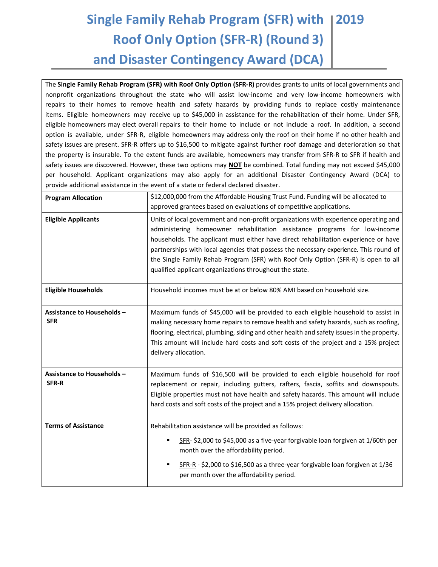## **Single Family Rehab Program (SFR) with 2019 Roof Only Option (SFR-R) (Round 3) and Disaster Contingency Award (DCA)**

The **Single Family Rehab Program (SFR) with Roof Only Option (SFR-R)** provides grants to units of local governments and nonprofit organizations throughout the state who will assist low-income and very low-income homeowners with repairs to their homes to remove health and safety hazards by providing funds to replace costly maintenance items. Eligible homeowners may receive up to \$45,000 in assistance for the rehabilitation of their home. Under SFR, eligible homeowners may elect overall repairs to their home to include or not include a roof. In addition, a second option is available, under SFR-R, eligible homeowners may address only the roof on their home if no other health and safety issues are present. SFR-R offers up to \$16,500 to mitigate against further roof damage and deterioration so that the property is insurable. To the extent funds are available, homeowners may transfer from SFR-R to SFR if health and safety issues are discovered. However, these two options may **NOT** be combined. Total funding may not exceed \$45,000 per household. Applicant organizations may also apply for an additional Disaster Contingency Award (DCA) to provide additional assistance in the event of a state or federal declared disaster.

| <b>Program Allocation</b>                       | \$12,000,000 from the Affordable Housing Trust Fund. Funding will be allocated to<br>approved grantees based on evaluations of competitive applications.                                                                                                                                                                                                                                                                                                                                           |
|-------------------------------------------------|----------------------------------------------------------------------------------------------------------------------------------------------------------------------------------------------------------------------------------------------------------------------------------------------------------------------------------------------------------------------------------------------------------------------------------------------------------------------------------------------------|
| <b>Eligible Applicants</b>                      | Units of local government and non-profit organizations with experience operating and<br>administering homeowner rehabilitation assistance programs for low-income<br>households. The applicant must either have direct rehabilitation experience or have<br>partnerships with local agencies that possess the necessary experience. This round of<br>the Single Family Rehab Program (SFR) with Roof Only Option (SFR-R) is open to all<br>qualified applicant organizations throughout the state. |
| <b>Eligible Households</b>                      | Household incomes must be at or below 80% AMI based on household size.                                                                                                                                                                                                                                                                                                                                                                                                                             |
| <b>Assistance to Households -</b><br><b>SFR</b> | Maximum funds of \$45,000 will be provided to each eligible household to assist in<br>making necessary home repairs to remove health and safety hazards, such as roofing,<br>flooring, electrical, plumbing, siding and other health and safety issues in the property.<br>This amount will include hard costs and soft costs of the project and a 15% project<br>delivery allocation.                                                                                                             |
| <b>Assistance to Households -</b><br>SFR-R      | Maximum funds of \$16,500 will be provided to each eligible household for roof<br>replacement or repair, including gutters, rafters, fascia, soffits and downspouts.<br>Eligible properties must not have health and safety hazards. This amount will include<br>hard costs and soft costs of the project and a 15% project delivery allocation.                                                                                                                                                   |
| <b>Terms of Assistance</b>                      | Rehabilitation assistance will be provided as follows:<br>SFR- \$2,000 to \$45,000 as a five-year forgivable loan forgiven at 1/60th per<br>٠<br>month over the affordability period.<br>SFR-R - \$2,000 to \$16,500 as a three-year forgivable loan forgiven at 1/36<br>٠<br>per month over the affordability period.                                                                                                                                                                             |